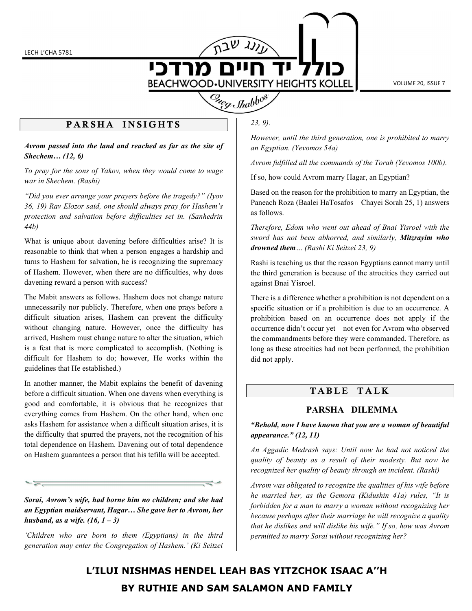

VOLUME 20, ISSUE 7

### PARSHA INSIGHTS

Avrom passed into the land and reached as far as the site of Shechem… (12, 6)

To pray for the sons of Yakov, when they would come to wage war in Shechem. (Rashi)

"Did you ever arrange your prayers before the tragedy?" (Iyov 36, 19) Rav Elozor said, one should always pray for Hashem's protection and salvation before difficulties set in. (Sanhedrin 44b)

What is unique about davening before difficulties arise? It is reasonable to think that when a person engages a hardship and turns to Hashem for salvation, he is recognizing the supremacy of Hashem. However, when there are no difficulties, why does davening reward a person with success?

The Mabit answers as follows. Hashem does not change nature unnecessarily nor publicly. Therefore, when one prays before a difficult situation arises, Hashem can prevent the difficulty without changing nature. However, once the difficulty has arrived, Hashem must change nature to alter the situation, which is a feat that is more complicated to accomplish. (Nothing is difficult for Hashem to do; however, He works within the guidelines that He established.)

In another manner, the Mabit explains the benefit of davening before a difficult situation. When one davens when everything is good and comfortable, it is obvious that he recognizes that everything comes from Hashem. On the other hand, when one asks Hashem for assistance when a difficult situation arises, it is the difficulty that spurred the prayers, not the recognition of his total dependence on Hashem. Davening out of total dependence on Hashem guarantees a person that his tefilla will be accepted.

Sorai, Avrom's wife, had borne him no children; and she had an Egyptian maidservant, Hagar… She gave her to Avrom, her husband, as a wife.  $(16, 1 - 3)$ 

'Children who are born to them (Egyptians) in the third generation may enter the Congregation of Hashem.' (Ki Seitzei

23, 9).

However, until the third generation, one is prohibited to marry an Egyptian. (Yevomos 54a)

Avrom fulfilled all the commands of the Torah (Yevomos 100b).

If so, how could Avrom marry Hagar, an Egyptian?

Based on the reason for the prohibition to marry an Egyptian, the Paneach Roza (Baalei HaTosafos – Chayei Sorah 25, 1) answers as follows.

Therefore, Edom who went out ahead of Bnai Yisroel with the sword has not been abhorred, and similarly, Mitzrayim who drowned them… (Rashi Ki Seitzei 23, 9)

Rashi is teaching us that the reason Egyptians cannot marry until the third generation is because of the atrocities they carried out against Bnai Yisroel.

There is a difference whether a prohibition is not dependent on a specific situation or if a prohibition is due to an occurrence. A prohibition based on an occurrence does not apply if the occurrence didn't occur yet – not even for Avrom who observed the commandments before they were commanded. Therefore, as long as these atrocities had not been performed, the prohibition did not apply.

# TABLE TALK

#### PARSHA DILEMMA

"Behold, now I have known that you are a woman of beautiful appearance." (12, 11)

An Aggadic Medrash says: Until now he had not noticed the quality of beauty as a result of their modesty. But now he recognized her quality of beauty through an incident. (Rashi)

Avrom was obligated to recognize the qualities of his wife before he married her, as the Gemora (Kidushin 41a) rules, "It is forbidden for a man to marry a woman without recognizing her because perhaps after their marriage he will recognize a quality that he dislikes and will dislike his wife." If so, how was Avrom permitted to marry Sorai without recognizing her?

# L'ILUI NISHMAS HENDEL LEAH BAS YITZCHOK ISAAC A''H BY RUTHIE AND SAM SALAMON AND FAMILY